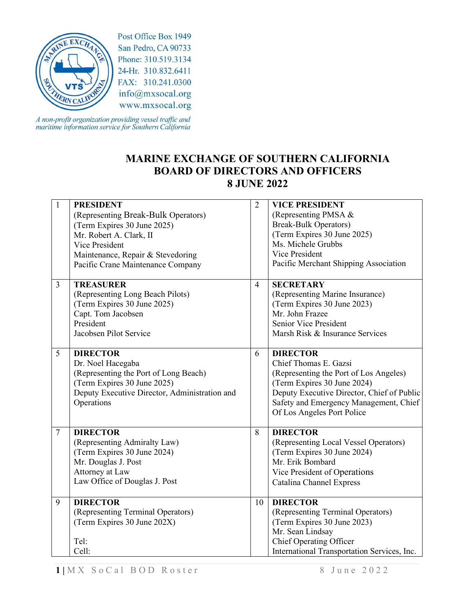

Post Office Box 1949 San Pedro, CA 90733 Phone: 310.519.3134 24-Hr. 310.832.6411 FAX: 310.241.0300 info@mxsocal.org www.mxsocal.org

A non-profit organization providing vessel traffic and<br>maritime information service for Southern California

## **MARINE EXCHANGE OF SOUTHERN CALIFORNIA BOARD OF DIRECTORS AND OFFICERS 8 JUNE 2022**

| $\mathbf{1}$   | <b>PRESIDENT</b>                              | $\overline{2}$ | <b>VICE PRESIDENT</b>                       |
|----------------|-----------------------------------------------|----------------|---------------------------------------------|
|                | (Representing Break-Bulk Operators)           |                | (Representing PMSA &                        |
|                | (Term Expires 30 June 2025)                   |                | <b>Break-Bulk Operators)</b>                |
|                | Mr. Robert A. Clark, II                       |                | (Term Expires 30 June 2025)                 |
|                | Vice President                                |                | Ms. Michele Grubbs                          |
|                | Maintenance, Repair & Stevedoring             |                | Vice President                              |
|                | Pacific Crane Maintenance Company             |                | Pacific Merchant Shipping Association       |
|                |                                               |                |                                             |
| $\overline{3}$ | <b>TREASURER</b>                              | $\overline{4}$ | <b>SECRETARY</b>                            |
|                | (Representing Long Beach Pilots)              |                | (Representing Marine Insurance)             |
|                | (Term Expires 30 June 2025)                   |                | (Term Expires 30 June 2023)                 |
|                | Capt. Tom Jacobsen                            |                | Mr. John Frazee                             |
|                | President                                     |                | Senior Vice President                       |
|                | Jacobsen Pilot Service                        |                | Marsh Risk & Insurance Services             |
|                |                                               |                |                                             |
| 5              | <b>DIRECTOR</b>                               | 6              | <b>DIRECTOR</b>                             |
|                | Dr. Noel Hacegaba                             |                | Chief Thomas E. Gazsi                       |
|                | (Representing the Port of Long Beach)         |                | (Representing the Port of Los Angeles)      |
|                | (Term Expires 30 June 2025)                   |                | (Term Expires 30 June 2024)                 |
|                | Deputy Executive Director, Administration and |                | Deputy Executive Director, Chief of Public  |
|                | Operations                                    |                | Safety and Emergency Management, Chief      |
|                |                                               |                | Of Los Angeles Port Police                  |
|                |                                               |                |                                             |
| $\overline{7}$ | <b>DIRECTOR</b>                               | 8              | <b>DIRECTOR</b>                             |
|                | (Representing Admiralty Law)                  |                | (Representing Local Vessel Operators)       |
|                | (Term Expires 30 June 2024)                   |                | (Term Expires 30 June 2024)                 |
|                | Mr. Douglas J. Post                           |                | Mr. Erik Bombard                            |
|                | Attorney at Law                               |                | Vice President of Operations                |
|                | Law Office of Douglas J. Post                 |                | <b>Catalina Channel Express</b>             |
| 9              | <b>DIRECTOR</b>                               | 10             | <b>DIRECTOR</b>                             |
|                | (Representing Terminal Operators)             |                | (Representing Terminal Operators)           |
|                | (Term Expires 30 June 202X)                   |                | (Term Expires 30 June 2023)                 |
|                |                                               |                | Mr. Sean Lindsay                            |
|                | Tel:                                          |                | Chief Operating Officer                     |
|                | Cell:                                         |                | International Transportation Services, Inc. |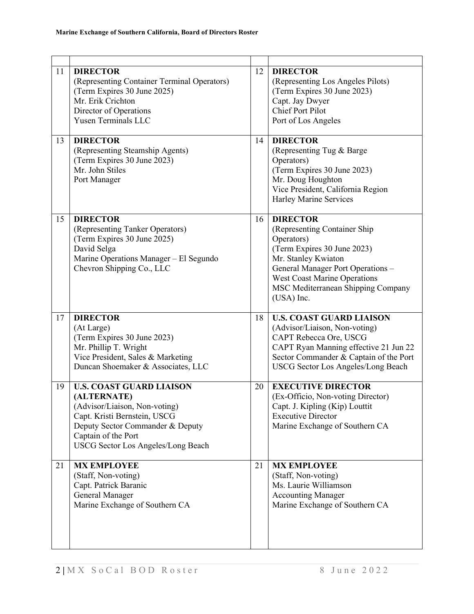| 11 | <b>DIRECTOR</b><br>(Representing Container Terminal Operators)<br>(Term Expires 30 June 2025)<br>Mr. Erik Crichton<br>Director of Operations<br><b>Yusen Terminals LLC</b>                                       | 12 | <b>DIRECTOR</b><br>(Representing Los Angeles Pilots)<br>(Term Expires 30 June 2023)<br>Capt. Jay Dwyer<br><b>Chief Port Pilot</b><br>Port of Los Angeles                                                                                            |
|----|------------------------------------------------------------------------------------------------------------------------------------------------------------------------------------------------------------------|----|-----------------------------------------------------------------------------------------------------------------------------------------------------------------------------------------------------------------------------------------------------|
| 13 | <b>DIRECTOR</b><br>(Representing Steamship Agents)<br>(Term Expires 30 June 2023)<br>Mr. John Stiles<br>Port Manager                                                                                             | 14 | <b>DIRECTOR</b><br>(Representing Tug & Barge)<br>Operators)<br>(Term Expires 30 June 2023)<br>Mr. Doug Houghton<br>Vice President, California Region<br>Harley Marine Services                                                                      |
| 15 | <b>DIRECTOR</b><br>(Representing Tanker Operators)<br>(Term Expires 30 June 2025)<br>David Selga<br>Marine Operations Manager - El Segundo<br>Chevron Shipping Co., LLC                                          | 16 | <b>DIRECTOR</b><br>(Representing Container Ship<br>Operators)<br>(Term Expires 30 June 2023)<br>Mr. Stanley Kwiaton<br>General Manager Port Operations -<br><b>West Coast Marine Operations</b><br>MSC Mediterranean Shipping Company<br>(USA) Inc. |
| 17 | <b>DIRECTOR</b><br>(At Large)<br>(Term Expires 30 June 2023)<br>Mr. Phillip T. Wright<br>Vice President, Sales & Marketing<br>Duncan Shoemaker & Associates, LLC                                                 | 18 | <b>U.S. COAST GUARD LIAISON</b><br>(Advisor/Liaison, Non-voting)<br>CAPT Rebecca Ore, USCG<br>CAPT Ryan Manning effective 21 Jun 22<br>Sector Commander & Captain of the Port<br><b>USCG Sector Los Angeles/Long Beach</b>                          |
| 19 | <b>U.S. COAST GUARD LIAISON</b><br>(ALTERNATE)<br>(Advisor/Liaison, Non-voting)<br>Capt. Kristi Bernstein, USCG<br>Deputy Sector Commander & Deputy<br>Captain of the Port<br>USCG Sector Los Angeles/Long Beach | 20 | <b>EXECUTIVE DIRECTOR</b><br>(Ex-Officio, Non-voting Director)<br>Capt. J. Kipling (Kip) Louttit<br><b>Executive Director</b><br>Marine Exchange of Southern CA                                                                                     |
| 21 | <b>MX EMPLOYEE</b><br>(Staff, Non-voting)<br>Capt. Patrick Baranic<br>General Manager<br>Marine Exchange of Southern CA                                                                                          | 21 | <b>MX EMPLOYEE</b><br>(Staff, Non-voting)<br>Ms. Laurie Williamson<br><b>Accounting Manager</b><br>Marine Exchange of Southern CA                                                                                                                   |